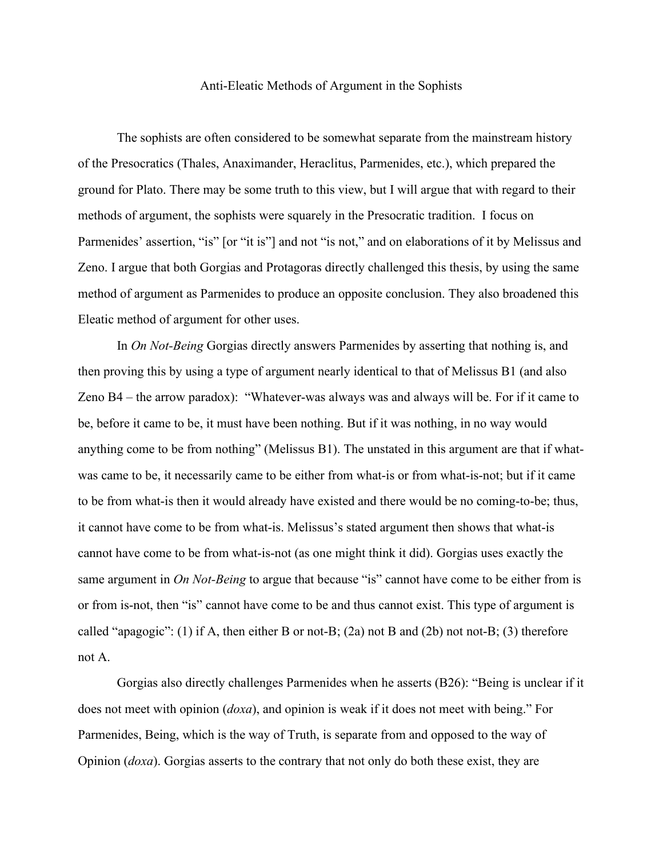## Anti-Eleatic Methods of Argument in the Sophists

The sophists are often considered to be somewhat separate from the mainstream history of the Presocratics (Thales, Anaximander, Heraclitus, Parmenides, etc.), which prepared the ground for Plato. There may be some truth to this view, but I will argue that with regard to their methods of argument, the sophists were squarely in the Presocratic tradition. I focus on Parmenides' assertion, "is" [or "it is"] and not "is not," and on elaborations of it by Melissus and Zeno. I argue that both Gorgias and Protagoras directly challenged this thesis, by using the same method of argument as Parmenides to produce an opposite conclusion. They also broadened this Eleatic method of argument for other uses.

In *On Not-Being* Gorgias directly answers Parmenides by asserting that nothing is, and then proving this by using a type of argument nearly identical to that of Melissus B1 (and also Zeno B4 – the arrow paradox): "Whatever-was always was and always will be. For if it came to be, before it came to be, it must have been nothing. But if it was nothing, in no way would anything come to be from nothing" (Melissus B1). The unstated in this argument are that if whatwas came to be, it necessarily came to be either from what-is or from what-is-not; but if it came to be from what-is then it would already have existed and there would be no coming-to-be; thus, it cannot have come to be from what-is. Melissus's stated argument then shows that what-is cannot have come to be from what-is-not (as one might think it did). Gorgias uses exactly the same argument in *On Not-Being* to argue that because "is" cannot have come to be either from is or from is-not, then "is" cannot have come to be and thus cannot exist. This type of argument is called "apagogic": (1) if A, then either B or not-B; (2a) not B and (2b) not not-B; (3) therefore not A.

Gorgias also directly challenges Parmenides when he asserts (B26): "Being is unclear if it does not meet with opinion (*doxa*), and opinion is weak if it does not meet with being." For Parmenides, Being, which is the way of Truth, is separate from and opposed to the way of Opinion (*doxa*). Gorgias asserts to the contrary that not only do both these exist, they are